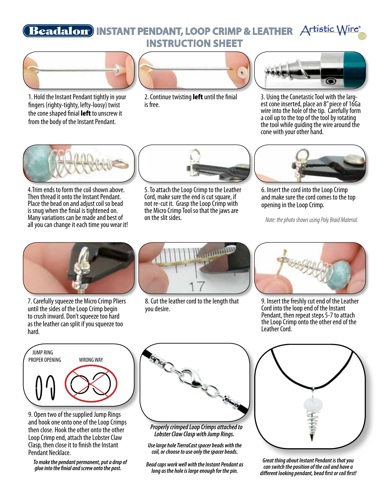# **INSTANT PENDANT, LOOP CRIMP & LEATHER** ® **INSTRUCTION SHEET**



1. Hold the Instant Pendant tightly in your fingers (righty-tighty, lefty-loosy) twist the cone shaped finial left to unscrew it from the body of the Instant Pendant.



2. Continue twisting **left** until the finial is free.



3. Using the Conetastic Tool with the larg- est cone inserted, place an 8" piece of 16Ga wire into the hole of the tip. Carefully form a coil up to the top of the tool by rotating the tool while guiding the wire around the cone with your other hand.



4.Trim ends to form the coil shown above. Then thread it onto the Instant Pendant. Place the bead on and adjust coil so bead is snug when the finial is tightened on. Many variations can be made and best of all you can change it each time you wear it!



5. To attach the Loop Crimp to the Leather Cord, make sure the end is cut square, if not re-cut it. Grasp the Loop Crimp with the Micro Crimp Tool so that the jaws are on the slit sides.



6. Insert the cord into the Loop Crimp and make sure the cord comes to the top opening in the Loop Crimp.

 *Note: the photo shows using Poly Braid Material.*



7. Carefully squeeze the Micro Crimp Pliers until the sides of the Loop Crimp begin to crush inward. Don't squeeze too hard as the leather can split if you squeeze too hard.



8. Cut the leather cord to the length that you desire.



9. Insert the freshly cut end of the Leather Cord into the loop end of the Instant Pendant, then repeat steps 5-7 to attach the Loop Crimp onto the other end of the Leather Cord.



9. Open two of the supplied Jump Rings and hook one onto one of the Loop Crimps then close. Hook the other onto the other Loop Crimp end, attach the Lobster Claw Clasp, then close it to finish the Instant Pendant Necklace.

 *To make the pendant permanent, put a drop of glue into the finial and screw onto the post.*



 *Properly crimped Loop Crimps attached to Lobster Claw Clasp with Jump Rings.*

*Use large hole TierraCast spacer beads with the coil, or choose to use only the spacer beads.* 

*Bead caps work well with the Instant Pendant as long as the hole is large enough for the pin.*



*Great thing about Instant Pendant is that you can switch the position of the coil and have a different looking pendant, bead first or coil first!*